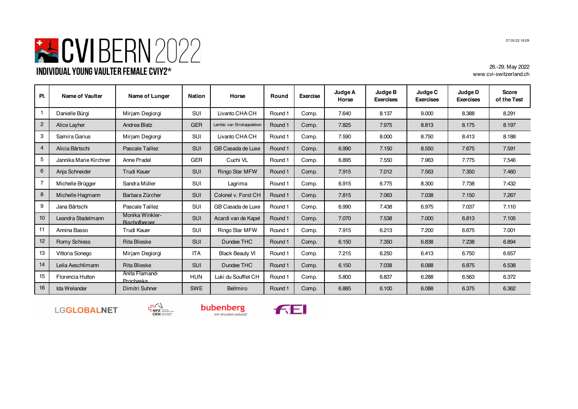## **EVIBERN** 2022 **Individual Young Vaulter Female CVIY2\***

26.-29. May 2022 www.cvi-switzerland.ch

| PI.            | Name of Vaulter        | Name of Lunger                          | <b>Nation</b> | Horse                     | Round   | <b>Exercise</b> | Judge A<br>Horse | Judge B<br><b>Exercises</b> | Judge C<br><b>Exercises</b> | Judge D<br><b>Exercises</b> | <b>Score</b><br>of the Test |
|----------------|------------------------|-----------------------------------------|---------------|---------------------------|---------|-----------------|------------------|-----------------------------|-----------------------------|-----------------------------|-----------------------------|
| -1             | Danielle Bürgi         | Mirjam Degiorgi                         | <b>SUI</b>    | Livanto CHA CH            | Round 1 | Comp.           | 7.640            | 8.137                       | 9.000                       | 8.388                       | 8.291                       |
| $\overline{2}$ | Alice Layher           | Andrea Blatz                            | <b>GER</b>    | Lambic van Strokappeleken | Round 1 | Comp.           | 7.825            | 7.975                       | 8.813                       | 8.175                       | 8.197                       |
| 3              | Samira Garius          | Mirjam Degiorgi                         | <b>SUI</b>    | Livanto CHA CH            | Round 1 | Comp.           | 7.590            | 8.000                       | 8.750                       | 8.413                       | 8.188                       |
| $\overline{4}$ | Alicia Bärtschi        | Pascale Taillez                         | <b>SUI</b>    | GB Casada de Luxe         | Round 1 | Comp.           | 6.990            | 7.150                       | 8.550                       | 7.675                       | 7.591                       |
| 5              | Jannika Marie Kirchner | Anne Pradel                             | <b>GER</b>    | Cuchi VL                  | Round 1 | Comp.           | 6.895            | 7.550                       | 7.963                       | 7.775                       | 7.546                       |
| 6              | Anja Schneider         | <b>Trudi Kauer</b>                      | <b>SUI</b>    | Ringo Star MFW            | Round 1 | Comp.           | 7.915            | 7.012                       | 7.563                       | 7.350                       | 7.460                       |
| $\overline{7}$ | Michelle Brügger       | Sandra Müller                           | <b>SUI</b>    | Lagrima                   | Round 1 | Comp.           | 6.915            | 6.775                       | 8.300                       | 7.738                       | 7.432                       |
| 8              | Michelle Hagmann       | Barbara Zürcher                         | <b>SUI</b>    | Colonel v. Forst CH       | Round 1 | Comp.           | 7.815            | 7.063                       | 7.038                       | 7.150                       | 7.267                       |
| 9              | Jana Bärtschi          | Pascale Taillez                         | SUI           | GB Casada de Luxe         | Round 1 | Comp.           | 6.990            | 7.438                       | 6.975                       | 7.037                       | 7.110                       |
| 10             | Leandra Stadelmann     | Monika Winkler-<br><b>Bischofberger</b> | <b>SUI</b>    | Acardi van de Kapel       | Round 1 | Comp.           | 7.070            | 7.538                       | 7.000                       | 6.813                       | 7.105                       |
| 11             | Annina Basso           | <b>Trudi Kauer</b>                      | <b>SUI</b>    | Ringo Star MFW            | Round 1 | Comp.           | 7.915            | 6.213                       | 7.200                       | 6.675                       | 7.001                       |
| 12             | Romy Schiess           | <b>Rita Blieske</b>                     | <b>SUI</b>    | Dundee THC                | Round 1 | Comp.           | 6.150            | 7.350                       | 6.838                       | 7.238                       | 6.894                       |
| 13             | Vittoria Sonego        | Mirjam Degiorgi                         | <b>ITA</b>    | <b>Black Beauty VI</b>    | Round 1 | Comp.           | 7.215            | 6.250                       | 6.413                       | 6.750                       | 6.657                       |
| 14             | Leila Aeschlimann      | <b>Rita Blieske</b>                     | SUI           | Dundee THC                | Round 1 | Comp.           | 6.150            | 7.038                       | 6.088                       | 6.875                       | 6.538                       |
| 15             | Florencia Hutton       | Anita Flamand<br>Prochaska              | <b>HUN</b>    | Luki du Soufflet CH       | Round 1 | Comp.           | 5.800            | 6.837                       | 6.288                       | 6.563                       | 6.372                       |
| 16             | Ida Welander           | Dimitri Suhner                          | <b>SWE</b>    | Bellmiro                  | Round 1 | Comp.           | 6.885            | 6.100                       | 6.088                       | 6.375                       | 6.362                       |









27.05.22 18:29